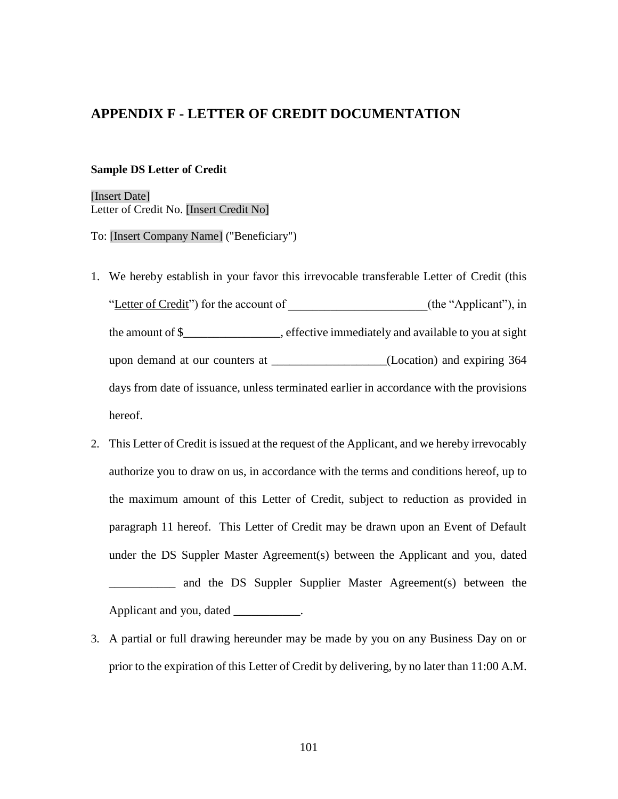## **APPENDIX F - LETTER OF CREDIT DOCUMENTATION**

#### **Sample DS Letter of Credit**

[Insert Date] Letter of Credit No. [Insert Credit No]

To: [Insert Company Name] ("Beneficiary")

- 1. We hereby establish in your favor this irrevocable transferable Letter of Credit (this "Letter of Credit") for the account of \_\_\_\_\_\_\_\_\_\_\_\_\_\_\_\_\_\_\_\_\_\_\_(the "Applicant"), in the amount of \$\_\_\_\_\_\_\_\_\_\_\_\_\_\_\_\_, effective immediately and available to you at sight upon demand at our counters at \_\_\_\_\_\_\_\_\_\_\_\_\_\_\_\_\_\_\_(Location) and expiring 364 days from date of issuance, unless terminated earlier in accordance with the provisions hereof.
- 2. This Letter of Credit is issued at the request of the Applicant, and we hereby irrevocably authorize you to draw on us, in accordance with the terms and conditions hereof, up to the maximum amount of this Letter of Credit, subject to reduction as provided in paragraph 11 hereof. This Letter of Credit may be drawn upon an Event of Default under the DS Suppler Master Agreement(s) between the Applicant and you, dated \_\_\_\_\_\_\_\_\_\_\_ and the DS Suppler Supplier Master Agreement(s) between the Applicant and you, dated \_\_\_\_\_\_\_\_\_\_.
- 3. A partial or full drawing hereunder may be made by you on any Business Day on or prior to the expiration of this Letter of Credit by delivering, by no later than 11:00 A.M.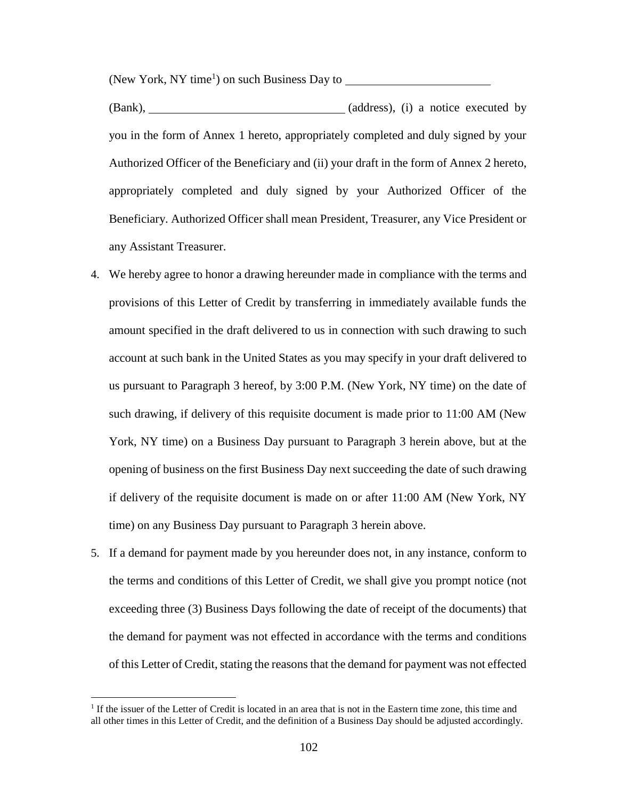(New York, NY time<sup>1</sup>) on such Business Day to

(Bank), (Bank), (Bank), (address), (i) a notice executed by you in the form of Annex 1 hereto, appropriately completed and duly signed by your Authorized Officer of the Beneficiary and (ii) your draft in the form of Annex 2 hereto, appropriately completed and duly signed by your Authorized Officer of the Beneficiary. Authorized Officer shall mean President, Treasurer, any Vice President or any Assistant Treasurer.

- 4. We hereby agree to honor a drawing hereunder made in compliance with the terms and provisions of this Letter of Credit by transferring in immediately available funds the amount specified in the draft delivered to us in connection with such drawing to such account at such bank in the United States as you may specify in your draft delivered to us pursuant to Paragraph 3 hereof, by 3:00 P.M. (New York, NY time) on the date of such drawing, if delivery of this requisite document is made prior to 11:00 AM (New York, NY time) on a Business Day pursuant to Paragraph 3 herein above, but at the opening of business on the first Business Day next succeeding the date of such drawing if delivery of the requisite document is made on or after 11:00 AM (New York, NY time) on any Business Day pursuant to Paragraph 3 herein above.
- 5. If a demand for payment made by you hereunder does not, in any instance, conform to the terms and conditions of this Letter of Credit, we shall give you prompt notice (not exceeding three (3) Business Days following the date of receipt of the documents) that the demand for payment was not effected in accordance with the terms and conditions of this Letter of Credit, stating the reasons that the demand for payment was not effected

 $\overline{a}$ 

<sup>&</sup>lt;sup>1</sup> If the issuer of the Letter of Credit is located in an area that is not in the Eastern time zone, this time and all other times in this Letter of Credit, and the definition of a Business Day should be adjusted accordingly.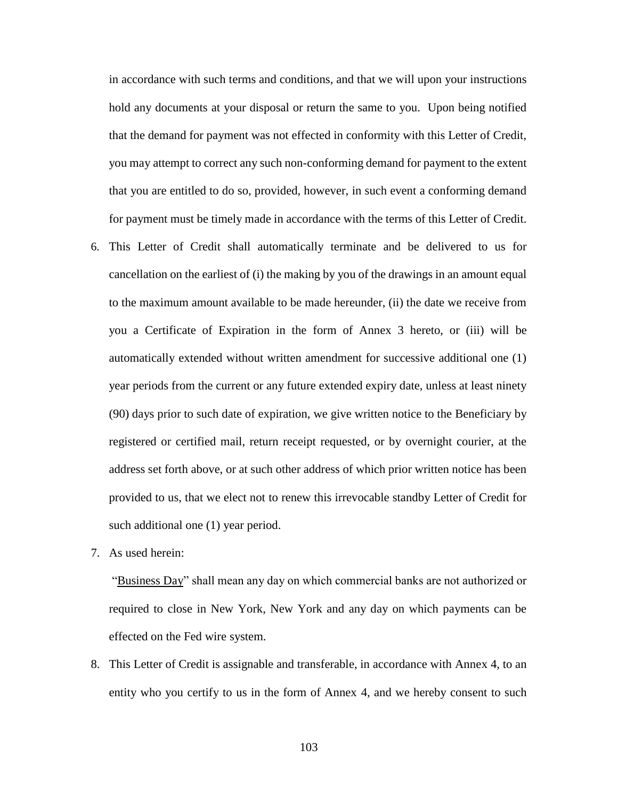in accordance with such terms and conditions, and that we will upon your instructions hold any documents at your disposal or return the same to you. Upon being notified that the demand for payment was not effected in conformity with this Letter of Credit, you may attempt to correct any such non-conforming demand for payment to the extent that you are entitled to do so, provided, however, in such event a conforming demand for payment must be timely made in accordance with the terms of this Letter of Credit.

- 6. This Letter of Credit shall automatically terminate and be delivered to us for cancellation on the earliest of (i) the making by you of the drawings in an amount equal to the maximum amount available to be made hereunder, (ii) the date we receive from you a Certificate of Expiration in the form of Annex 3 hereto, or (iii) will be automatically extended without written amendment for successive additional one (1) year periods from the current or any future extended expiry date, unless at least ninety (90) days prior to such date of expiration, we give written notice to the Beneficiary by registered or certified mail, return receipt requested, or by overnight courier, at the address set forth above, or at such other address of which prior written notice has been provided to us, that we elect not to renew this irrevocable standby Letter of Credit for such additional one (1) year period.
- 7. As used herein:

"Business Day" shall mean any day on which commercial banks are not authorized or required to close in New York, New York and any day on which payments can be effected on the Fed wire system.

8. This Letter of Credit is assignable and transferable, in accordance with Annex 4, to an entity who you certify to us in the form of Annex 4, and we hereby consent to such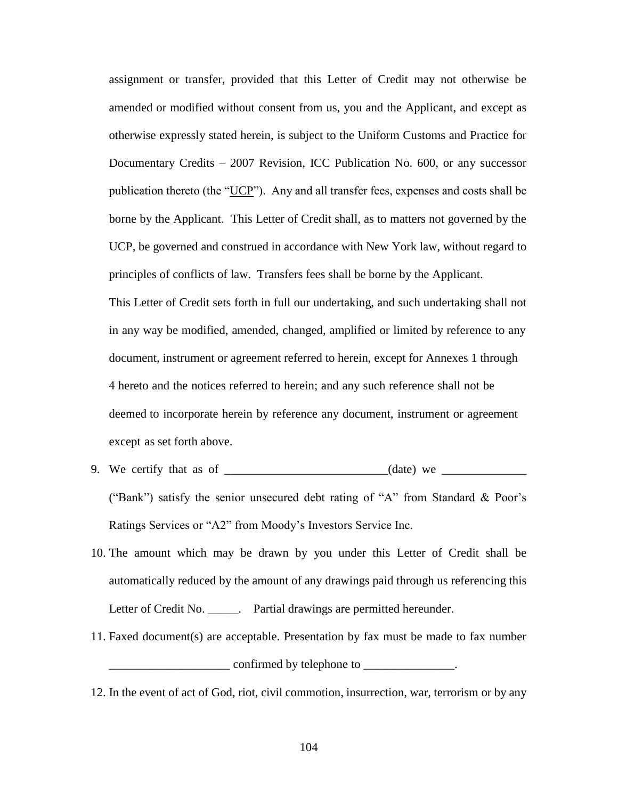assignment or transfer, provided that this Letter of Credit may not otherwise be amended or modified without consent from us, you and the Applicant, and except as otherwise expressly stated herein, is subject to the Uniform Customs and Practice for Documentary Credits – 2007 Revision, ICC Publication No. 600, or any successor publication thereto (the "UCP"). Any and all transfer fees, expenses and costs shall be borne by the Applicant. This Letter of Credit shall, as to matters not governed by the UCP, be governed and construed in accordance with New York law, without regard to principles of conflicts of law. Transfers fees shall be borne by the Applicant.

This Letter of Credit sets forth in full our undertaking, and such undertaking shall not in any way be modified, amended, changed, amplified or limited by reference to any document, instrument or agreement referred to herein, except for Annexes 1 through 4 hereto and the notices referred to herein; and any such reference shall not be deemed to incorporate herein by reference any document, instrument or agreement except as set forth above.

- 9. We certify that as of \_\_\_\_\_\_\_\_\_\_\_\_\_\_\_\_\_\_\_\_\_\_\_\_\_\_\_(date) we \_\_\_\_\_\_\_\_\_\_\_\_\_\_ ("Bank") satisfy the senior unsecured debt rating of "A" from Standard & Poor's Ratings Services or "A2" from Moody's Investors Service Inc.
- 10. The amount which may be drawn by you under this Letter of Credit shall be automatically reduced by the amount of any drawings paid through us referencing this Letter of Credit No. \_\_\_\_\_\_. Partial drawings are permitted hereunder.
- 11. Faxed document(s) are acceptable. Presentation by fax must be made to fax number  $\blacksquare$  confirmed by telephone to  $\blacksquare$
- 12. In the event of act of God, riot, civil commotion, insurrection, war, terrorism or by any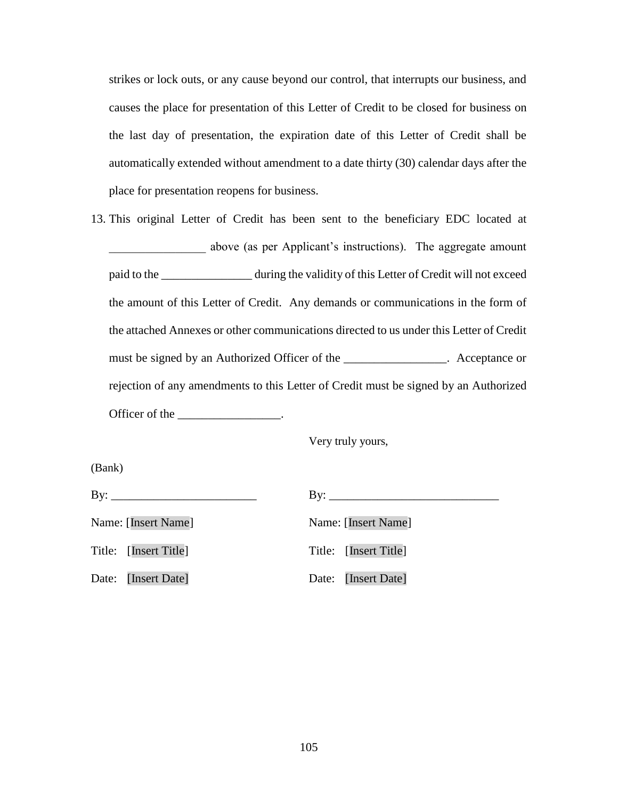strikes or lock outs, or any cause beyond our control, that interrupts our business, and causes the place for presentation of this Letter of Credit to be closed for business on the last day of presentation, the expiration date of this Letter of Credit shall be automatically extended without amendment to a date thirty (30) calendar days after the place for presentation reopens for business.

13. This original Letter of Credit has been sent to the beneficiary EDC located at \_\_\_\_\_\_\_\_\_\_\_\_\_\_\_\_ above (as per Applicant's instructions). The aggregate amount paid to the \_\_\_\_\_\_\_\_\_\_\_\_\_\_\_ during the validity of this Letter of Credit will not exceed the amount of this Letter of Credit. Any demands or communications in the form of the attached Annexes or other communications directed to us under this Letter of Credit must be signed by an Authorized Officer of the \_\_\_\_\_\_\_\_\_\_\_\_\_\_. Acceptance or rejection of any amendments to this Letter of Credit must be signed by an Authorized Officer of the \_\_\_\_\_\_\_\_\_\_\_\_\_\_\_\_.

Very truly yours,

(Bank) By: \_\_\_\_\_\_\_\_\_\_\_\_\_\_\_\_\_\_\_\_\_\_\_\_ By: \_\_\_\_\_\_\_\_\_\_\_\_\_\_\_\_\_\_\_\_\_\_\_\_\_\_\_\_ Name: [Insert Name] Name: [Insert Name] Title: [Insert Title] Title: [Insert Title] Date: [Insert Date] Date: [Insert Date]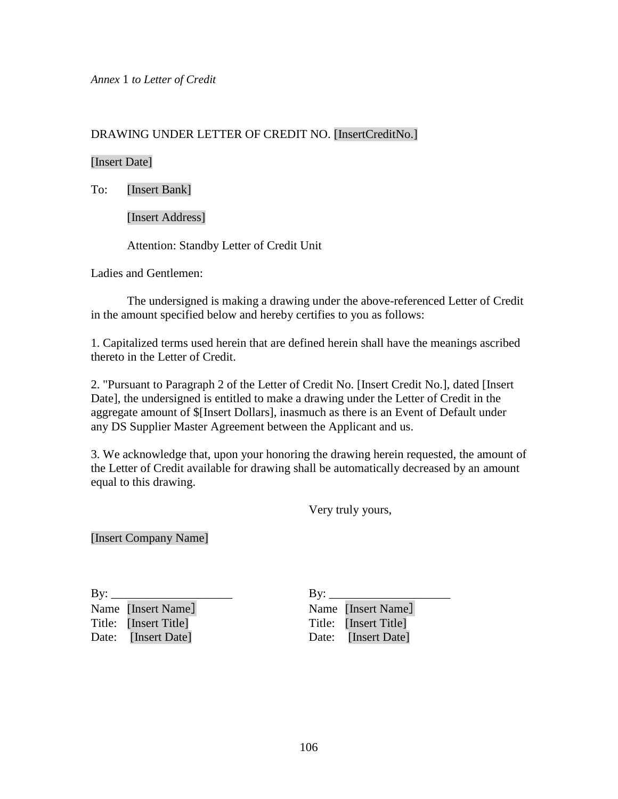*Annex* 1 *to Letter of Credit*

# DRAWING UNDER LETTER OF CREDIT NO. [InsertCreditNo.]

### [Insert Date]

To: [Insert Bank]

[Insert Address]

Attention: Standby Letter of Credit Unit

Ladies and Gentlemen:

The undersigned is making a drawing under the above-referenced Letter of Credit in the amount specified below and hereby certifies to you as follows:

1. Capitalized terms used herein that are defined herein shall have the meanings ascribed thereto in the Letter of Credit.

2. "Pursuant to Paragraph 2 of the Letter of Credit No. [Insert Credit No.], dated [Insert Date], the undersigned is entitled to make a drawing under the Letter of Credit in the aggregate amount of \$[Insert Dollars], inasmuch as there is an Event of Default under any DS Supplier Master Agreement between the Applicant and us.

3. We acknowledge that, upon your honoring the drawing herein requested, the amount of the Letter of Credit available for drawing shall be automatically decreased by an amount equal to this drawing.

Very truly yours,

[Insert Company Name]

Name [Insert Name] Name [Insert Name] Title: [Insert Title] Title: [Insert Title] Date: [Insert Date] Date: [Insert Date]

By: \_\_\_\_\_\_\_\_\_\_\_\_\_\_\_\_\_\_\_\_ By: \_\_\_\_\_\_\_\_\_\_\_\_\_\_\_\_\_\_\_\_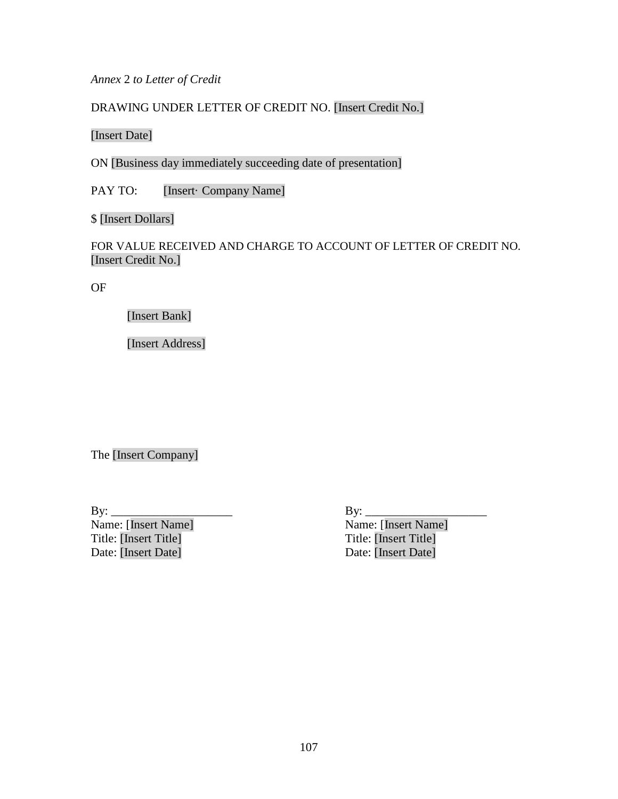*Annex* 2 *to Letter of Credit*

DRAWING UNDER LETTER OF CREDIT NO. [Insert Credit No.]

[Insert Date]

ON [Business day immediately succeeding date of presentation]

PAY TO: [Insert· Company Name]

\$ [Insert Dollars]

FOR VALUE RECEIVED AND CHARGE TO ACCOUNT OF LETTER OF CREDIT NO. [Insert Credit No.]

OF

[Insert Bank]

[Insert Address]

The [Insert Company]

By: \_\_\_\_\_\_\_\_\_\_\_\_\_\_\_\_\_\_\_\_ By: \_\_\_\_\_\_\_\_\_\_\_\_\_\_\_\_\_\_\_\_ Name: [Insert Name] Name: [Insert Name] Title: [Insert Title] Title: [Insert Title] Date: [Insert Date] Date: [Insert Date]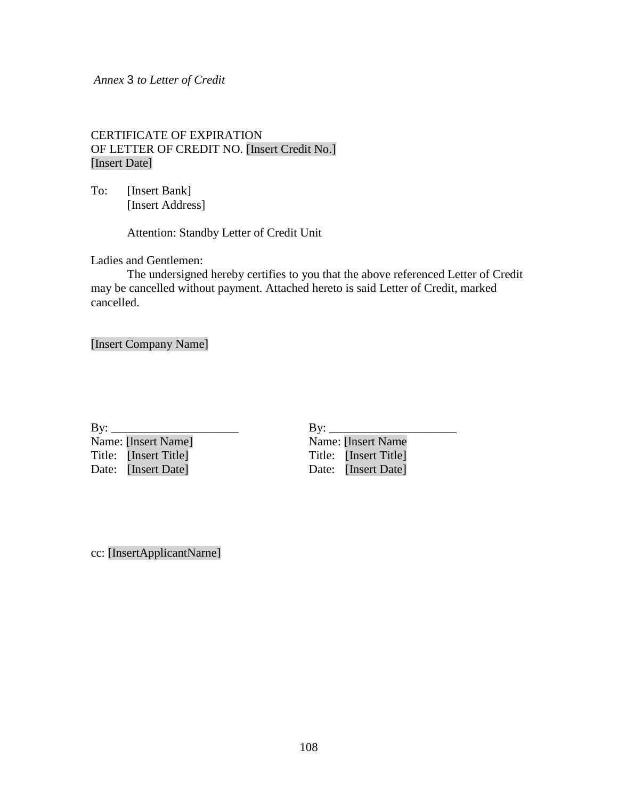#### *Annex* 3 *to Letter of Credit*

## CERTIFICATE OF EXPIRATION OF LETTER OF CREDIT NO. [Insert Credit No.] [Insert Date]

To: [Insert Bank] [Insert Address]

Attention: Standby Letter of Credit Unit

Ladies and Gentlemen:

The undersigned hereby certifies to you that the above referenced Letter of Credit may be cancelled without payment. Attached hereto is said Letter of Credit, marked cancelled.

[Insert Company Name]

By: \_\_\_\_\_\_\_\_\_\_\_\_\_\_\_\_\_\_\_\_\_ By: \_\_\_\_\_\_\_\_\_\_\_\_\_\_\_\_\_\_\_\_\_ Name: [lnsert Name] Name: [lnsert Name Title: [Insert Title] Title: [Insert Title] Date: [Insert Date] Date: [Insert Date]

cc: [InsertApplicantNarne]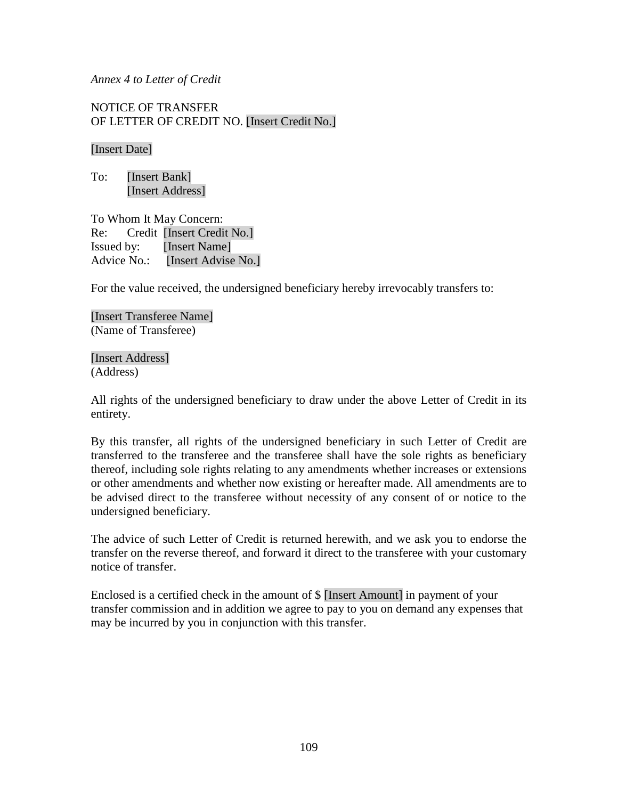#### *Annex 4 to Letter of Credit*

NOTICE OF TRANSFER OF LETTER OF CREDIT NO. [Insert Credit No.]

### [Insert Date]

To: [Insert Bank] [Insert Address]

To Whom It May Concern: Re: Credit [Insert Credit No.] Issued by: [Insert Name] Advice No.: [Insert Advise No.]

For the value received, the undersigned beneficiary hereby irrevocably transfers to:

[Insert Transferee Name] (Name of Transferee)

[Insert Address] (Address)

All rights of the undersigned beneficiary to draw under the above Letter of Credit in its entirety.

By this transfer, all rights of the undersigned beneficiary in such Letter of Credit are transferred to the transferee and the transferee shall have the sole rights as beneficiary thereof, including sole rights relating to any amendments whether increases or extensions or other amendments and whether now existing or hereafter made. All amendments are to be advised direct to the transferee without necessity of any consent of or notice to the undersigned beneficiary.

The advice of such Letter of Credit is returned herewith, and we ask you to endorse the transfer on the reverse thereof, and forward it direct to the transferee with your customary notice of transfer.

Enclosed is a certified check in the amount of \$ [Insert Amount] in payment of your transfer commission and in addition we agree to pay to you on demand any expenses that may be incurred by you in conjunction with this transfer.